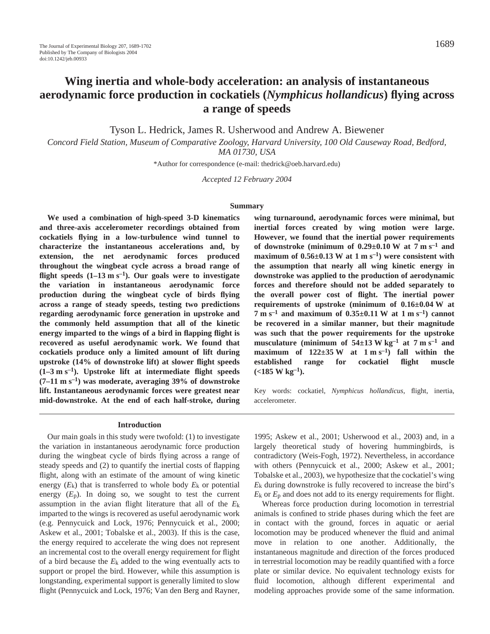# **Wing inertia and whole-body acceleration: an analysis of instantaneous aerodynamic force production in cockatiels (***Nymphicus hollandicus***) flying across a range of speeds**

Tyson L. Hedrick, James R. Usherwood and Andrew A. Biewener

*Concord Field Station, Museum of Comparative Zoology, Harvard University, 100 Old Causeway Road, Bedford, MA 01730, USA*

\*Author for correspondence (e-mail: thedrick@oeb.harvard.edu)

*Accepted 12 February 2004*

#### **Summary**

**We used a combination of high-speed 3-D kinematics and three-axis accelerometer recordings obtained from cockatiels flying in a low-turbulence wind tunnel to characterize the instantaneous accelerations and, by extension, the net aerodynamic forces produced throughout the wingbeat cycle across a broad range of** flight speeds  $(1-13 \text{ m s}^{-1})$ . Our goals were to investigate **the variation in instantaneous aerodynamic force production during the wingbeat cycle of birds flying across a range of steady speeds, testing two predictions regarding aerodynamic force generation in upstroke and the commonly held assumption that all of the kinetic energy imparted to the wings of a bird in flapping flight is recovered as useful aerodynamic work. We found that cockatiels produce only a limited amount of lift during upstroke (14% of downstroke lift) at slower flight speeds**  $(1-3 \text{ m s}^{-1})$ . Upstroke lift at intermediate flight speeds (7–11 m s<sup>-1</sup>) was moderate, averaging 39% of downstroke **lift. Instantaneous aerodynamic forces were greatest near mid-downstroke. At the end of each half-stroke, during**

# **wing turnaround, aerodynamic forces were minimal, but inertial forces created by wing motion were large. However, we found that the inertial power requirements** of downstroke (minimum of  $0.29 \pm 0.10$  W at  $7$  m s<sup>-1</sup> and **maximum of 0.56** $\pm$ **0.13** W at 1 m s<sup>-1</sup>) were consistent with **the assumption that nearly all wing kinetic energy in downstroke was applied to the production of aerodynamic forces and therefore should not be added separately to the overall power cost of flight. The inertial power** requirements of upstroke (minimum of  $0.16\pm0.04$  W at  $7 \text{ m s}^{-1}$  and maximum of  $0.35\pm0.11 \text{ W}$  at  $1 \text{ m s}^{-1}$ ) cannot **be recovered in a similar manner, but their magnitude was such that the power requirements for the upstroke** musculature (minimum of  $54\pm13$  W kg<sup>-1</sup> at 7 m s<sup>-1</sup> and maximum of  $122\pm35$  W at  $1 \text{ m s}^{-1}$  fall within the **established range for cockatiel flight muscle**  $(<185 \text{ W kg}^{-1})$ .

Key words: cockatiel, *Nymphicus hollandicus*, flight, inertia, accelerometer.

#### **Introduction**

Our main goals in this study were twofold: (1) to investigate the variation in instantaneous aerodynamic force production during the wingbeat cycle of birds flying across a range of steady speeds and (2) to quantify the inertial costs of flapping flight, along with an estimate of the amount of wing kinetic energy  $(E_k)$  that is transferred to whole body  $E_k$  or potential energy  $(E_p)$ . In doing so, we sought to test the current assumption in the avian flight literature that all of the *E*k imparted to the wings is recovered as useful aerodynamic work (e.g. Pennycuick and Lock, 1976; Pennycuick et al., 2000; Askew et al., 2001; Tobalske et al., 2003). If this is the case, the energy required to accelerate the wing does not represent an incremental cost to the overall energy requirement for flight of a bird because the  $E_k$  added to the wing eventually acts to support or propel the bird. However, while this assumption is longstanding, experimental support is generally limited to slow flight (Pennycuick and Lock, 1976; Van den Berg and Rayner,

1995; Askew et al., 2001; Usherwood et al., 2003) and, in a largely theoretical study of hovering hummingbirds, is contradictory (Weis-Fogh, 1972). Nevertheless, in accordance with others (Pennycuick et al., 2000; Askew et al., 2001; Tobalske et al., 2003), we hypothesize that the cockatiel's wing *E*k during downstroke is fully recovered to increase the bird's  $E_k$  or  $E_p$  and does not add to its energy requirements for flight.

Whereas force production during locomotion in terrestrial animals is confined to stride phases during which the feet are in contact with the ground, forces in aquatic or aerial locomotion may be produced whenever the fluid and animal move in relation to one another. Additionally, the instantaneous magnitude and direction of the forces produced in terrestrial locomotion may be readily quantified with a force plate or similar device. No equivalent technology exists for fluid locomotion, although different experimental and modeling approaches provide some of the same information.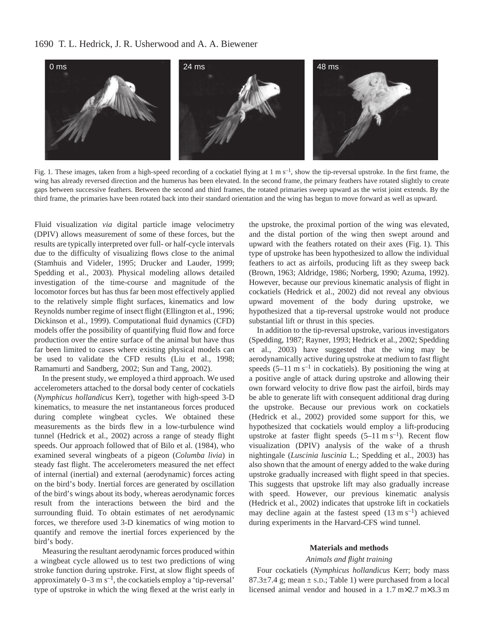# 1690 T. L. Hedrick, J. R. Usherwood and A. A. Biewener



Fig. 1. These images, taken from a high-speed recording of a cockatiel flying at  $1 \text{ m s}^{-1}$ , show the tip-reversal upstroke. In the first frame, the wing has already reversed direction and the humerus has been elevated. In the second frame, the primary feathers have rotated slightly to create gaps between successive feathers. Between the second and third frames, the rotated primaries sweep upward as the wrist joint extends. By the third frame, the primaries have been rotated back into their standard orientation and the wing has begun to move forward as well as upward.

Fluid visualization *via* digital particle image velocimetry (DPIV) allows measurement of some of these forces, but the results are typically interpreted over full- or half-cycle intervals due to the difficulty of visualizing flows close to the animal (Stamhuis and Videler, 1995; Drucker and Lauder, 1999; Spedding et al., 2003). Physical modeling allows detailed investigation of the time-course and magnitude of the locomotor forces but has thus far been most effectively applied to the relatively simple flight surfaces, kinematics and low Reynolds number regime of insect flight (Ellington et al., 1996; Dickinson et al., 1999). Computational fluid dynamics (CFD) models offer the possibility of quantifying fluid flow and force production over the entire surface of the animal but have thus far been limited to cases where existing physical models can be used to validate the CFD results (Liu et al., 1998; Ramamurti and Sandberg, 2002; Sun and Tang, 2002).

In the present study, we employed a third approach. We used accelerometers attached to the dorsal body center of cockatiels (*Nymphicus hollandicus* Kerr), together with high-speed 3-D kinematics, to measure the net instantaneous forces produced during complete wingbeat cycles. We obtained these measurements as the birds flew in a low-turbulence wind tunnel (Hedrick et al., 2002) across a range of steady flight speeds. Our approach followed that of Bilo et al. (1984), who examined several wingbeats of a pigeon (*Columba livia*) in steady fast flight. The accelerometers measured the net effect of internal (inertial) and external (aerodynamic) forces acting on the bird's body. Inertial forces are generated by oscillation of the bird's wings about its body, whereas aerodynamic forces result from the interactions between the bird and the surrounding fluid. To obtain estimates of net aerodynamic forces, we therefore used 3-D kinematics of wing motion to quantify and remove the inertial forces experienced by the bird's body.

Measuring the resultant aerodynamic forces produced within a wingbeat cycle allowed us to test two predictions of wing stroke function during upstroke. First, at slow flight speeds of approximately  $0-3$  m s<sup>-1</sup>, the cockatiels employ a 'tip-reversal' type of upstroke in which the wing flexed at the wrist early in

the upstroke, the proximal portion of the wing was elevated, and the distal portion of the wing then swept around and upward with the feathers rotated on their axes (Fig. 1). This type of upstroke has been hypothesized to allow the individual feathers to act as airfoils, producing lift as they sweep back (Brown, 1963; Aldridge, 1986; Norberg, 1990; Azuma, 1992). However, because our previous kinematic analysis of flight in cockatiels (Hedrick et al., 2002) did not reveal any obvious upward movement of the body during upstroke, we hypothesized that a tip-reversal upstroke would not produce substantial lift or thrust in this species.

In addition to the tip-reversal upstroke, various investigators (Spedding, 1987; Rayner, 1993; Hedrick et al., 2002; Spedding et al., 2003) have suggested that the wing may be aerodynamically active during upstroke at medium to fast flight speeds  $(5-11 \text{ m s}^{-1})$  in cockatiels). By positioning the wing at a positive angle of attack during upstroke and allowing their own forward velocity to drive flow past the airfoil, birds may be able to generate lift with consequent additional drag during the upstroke. Because our previous work on cockatiels (Hedrick et al., 2002) provided some support for this, we hypothesized that cockatiels would employ a lift-producing upstroke at faster flight speeds  $(5-11 \text{ m s}^{-1})$ . Recent flow visualization (DPIV) analysis of the wake of a thrush nightingale (*Luscinia luscinia* L.; Spedding et al., 2003) has also shown that the amount of energy added to the wake during upstroke gradually increased with flight speed in that species. This suggests that upstroke lift may also gradually increase with speed. However, our previous kinematic analysis (Hedrick et al., 2002) indicates that upstroke lift in cockatiels may decline again at the fastest speed  $(13 \text{ m s}^{-1})$  achieved during experiments in the Harvard-CFS wind tunnel.

### **Materials and methods**

### *Animals and flight training*

Four cockatiels (*Nymphicus hollandicus* Kerr; body mass 87.3 $\pm$ 7.4 g; mean  $\pm$  s.D.; Table 1) were purchased from a local licensed animal vendor and housed in a  $1.7 \text{ m} \times 2.7 \text{ m} \times 3.3 \text{ m}$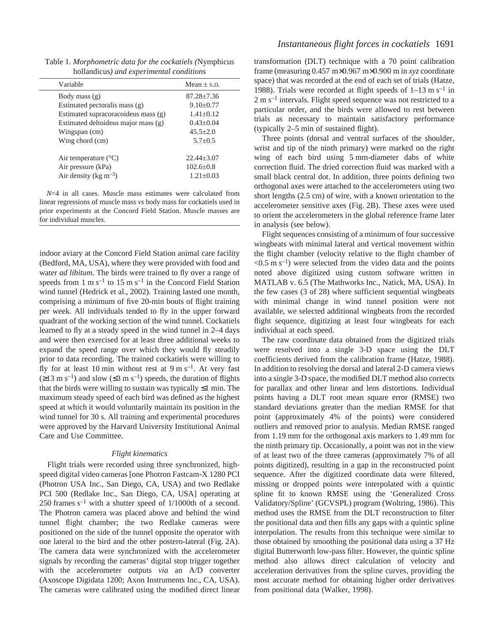Table 1. *Morphometric data for the cockatiels (*Nymphicus hollandicus*) and experimental conditions*

| $Mean + S.D.$   |
|-----------------|
| $87.28 + 7.36$  |
| $9.10 \pm 0.77$ |
| $1.41 + 0.12$   |
| $0.43+0.04$     |
| $45.5 + 2.0$    |
| $5.7+0.5$       |
| $22.44 + 3.07$  |
| $102.6 + 0.8$   |
| $1.21 \pm 0.03$ |
|                 |

*N*=4 in all cases. Muscle mass estimates were calculated from linear regressions of muscle mass *vs* body mass for cockatiels used in prior experiments at the Concord Field Station. Muscle masses are for individual muscles.

indoor aviary at the Concord Field Station animal care facility (Bedford, MA, USA), where they were provided with food and water *ad libitum*. The birds were trained to fly over a range of speeds from 1 m s<sup>-1</sup> to 15 m s<sup>-1</sup> in the Concord Field Station wind tunnel (Hedrick et al., 2002). Training lasted one month, comprising a minimum of five 20-min bouts of flight training per week. All individuals tended to fly in the upper forward quadrant of the working section of the wind tunnel. Cockatiels learned to fly at a steady speed in the wind tunnel in 2–4 days and were then exercised for at least three additional weeks to expand the speed range over which they would fly steadily prior to data recording. The trained cockatiels were willing to fly for at least 10 min without rest at 9 m s<sup>-1</sup>. At very fast  $(\geq 13 \text{ m s}^{-1})$  and slow  $(\leq 3 \text{ m s}^{-1})$  speeds, the duration of flights that the birds were willing to sustain was typically  $\leq 1$  min. The maximum steady speed of each bird was defined as the highest speed at which it would voluntarily maintain its position in the wind tunnel for 30 s. All training and experimental procedures were approved by the Harvard University Institutional Animal Care and Use Committee.

### *Flight kinematics*

Flight trials were recorded using three synchronized, highspeed digital video cameras [one Photron Fastcam-X 1280 PCI (Photron USA Inc., San Diego, CA, USA) and two Redlake PCI 500 (Redlake Inc., San Diego, CA, USA] operating at  $250$  frames s<sup>-1</sup> with a shutter speed of  $1/1000$ th of a second. The Photron camera was placed above and behind the wind tunnel flight chamber; the two Redlake cameras were positioned on the side of the tunnel opposite the operator with one lateral to the bird and the other postero-lateral (Fig. 2A). The camera data were synchronized with the accelerometer signals by recording the cameras' digital stop trigger together with the accelerometer outputs *via* an A/D converter (Axoscope Digidata 1200; Axon Instruments Inc., CA, USA). The cameras were calibrated using the modified direct linear transformation (DLT) technique with a 70 point calibration frame (measuring  $0.457 \text{ m} \times 0.967 \text{ m} \times 0.900 \text{ m}$  in *xyz* coordinate space) that was recorded at the end of each set of trials (Hatze, 1988). Trials were recorded at flight speeds of  $1-13 \text{ m s}^{-1}$  in  $2 \text{ m s}^{-1}$  intervals. Flight speed sequence was not restricted to a particular order, and the birds were allowed to rest between trials as necessary to maintain satisfactory performance  $(typically 2–5 min of sustained flight).$ 

Three points (dorsal and ventral surfaces of the shoulder, wrist and tip of the ninth primary) were marked on the right wing of each bird using 5 mm-diameter dabs of white correction fluid. The dried correction fluid was marked with a small black central dot. In addition, three points defining two orthogonal axes were attached to the accelerometers using two short lengths  $(2.5 \text{ cm})$  of wire, with a known orientation to the accelerometer sensitive axes (Fig. 2B). These axes were used to orient the accelerometers in the global reference frame later in analysis (see below).

Flight sequences consisting of a minimum of four successive wingbeats with minimal lateral and vertical movement within the flight chamber (velocity relative to the flight chamber of  $\leq 0.5$  m s<sup>-1</sup>) were selected from the video data and the points noted above digitized using custom software written in MATLAB v. 6.5 (The Mathworks Inc., Natick, MA, USA). In the few cases (3 of 28) where sufficient sequential wingbeats with minimal change in wind tunnel position were not available, we selected additional wingbeats from the recorded flight sequence, digitizing at least four wingbeats for each individual at each speed.

The raw coordinate data obtained from the digitized trials were resolved into a single 3-D space using the DLT coefficients derived from the calibration frame (Hatze, 1988). In addition to resolving the dorsal and lateral 2-D camera views into a single 3-D space, the modified DLT method also corrects for parallax and other linear and lens distortions. Individual points having a DLT root mean square error (RMSE) two standard deviations greater than the median RMSE for that point (approximately 4% of the points) were considered outliers and removed prior to analysis. Median RMSE ranged from 1.19 mm for the orthogonal axis markers to 1.49 mm for the ninth primary tip. Occasionally, a point was not in the view of at least two of the three cameras (approximately 7% of all points digitized), resulting in a gap in the reconstructed point sequence. After the digitized coordinate data were filtered, missing or dropped points were interpolated with a quintic spline fit to known RMSE using the 'Generalized Cross Validatory/Spline' (GCVSPL) program (Woltring, 1986). This method uses the RMSE from the DLT reconstruction to filter the positional data and then fills any gaps with a quintic spline interpolation. The results from this technique were similar to those obtained by smoothing the positional data using a 37 Hz digital Butterworth low-pass filter. However, the quintic spline method also allows direct calculation of velocity and acceleration derivatives from the spline curves, providing the most accurate method for obtaining higher order derivatives from positional data (Walker, 1998).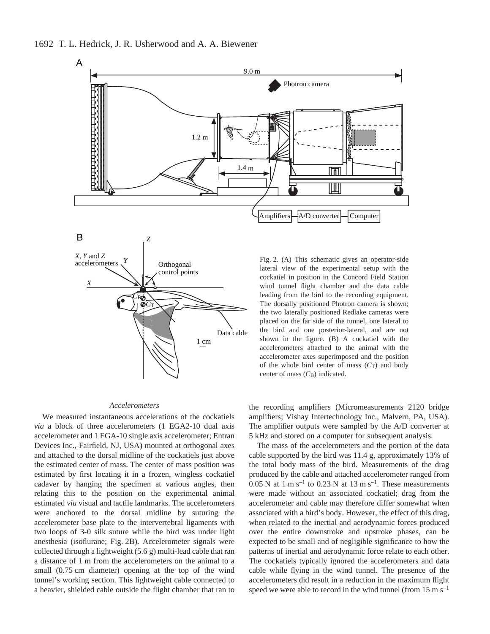

#### *Accelerometers*

We measured instantaneous accelerations of the cockatiels *via* a block of three accelerometers (1 EGA2-10 dual axis accelerometer and 1 EGA-10 single axis accelerometer; Entran Devices Inc., Fairfield, NJ, USA) mounted at orthogonal axes and attached to the dorsal midline of the cockatiels just above the estimated center of mass. The center of mass position was estimated by first locating it in a frozen, wingless cockatiel cadaver by hanging the specimen at various angles, then relating this to the position on the experimental animal estimated *via* visual and tactile landmarks. The accelerometers were anchored to the dorsal midline by suturing the accelerometer base plate to the intervertebral ligaments with two loops of 3-0 silk suture while the bird was under light anesthesia (isoflurane; Fig. 2B). Accelerometer signals were collected through a lightweight  $(5.6g)$  multi-lead cable that ran a distance of 1 m from the accelerometers on the animal to a small (0.75 cm diameter) opening at the top of the wind tunnel's working section. This lightweight cable connected to a heavier, shielded cable outside the flight chamber that ran to

the recording amplifiers (Micromeasurements 2120 bridge amplifiers; Vishay Intertechnology Inc., Malvern, PA, USA). The amplifier outputs were sampled by the A/D converter at 5 kHz and stored on a computer for subsequent analysis.

The mass of the accelerometers and the portion of the data cable supported by the bird was  $11.4$  g, approximately 13% of the total body mass of the bird. Measurements of the drag produced by the cable and attached accelerometer ranged from 0.05 N at 1 m s<sup>-1</sup> to 0.23 N at 13 m s<sup>-1</sup>. These measurements were made without an associated cockatiel; drag from the accelerometer and cable may therefore differ somewhat when associated with a bird's body. However, the effect of this drag, when related to the inertial and aerodynamic forces produced over the entire downstroke and upstroke phases, can be expected to be small and of negligible significance to how the patterns of inertial and aerodynamic force relate to each other. The cockatiels typically ignored the accelerometers and data cable while flying in the wind tunnel. The presence of the accelerometers did result in a reduction in the maximum flight speed we were able to record in the wind tunnel (from  $15~\mathrm{m~s^{-1}}$ )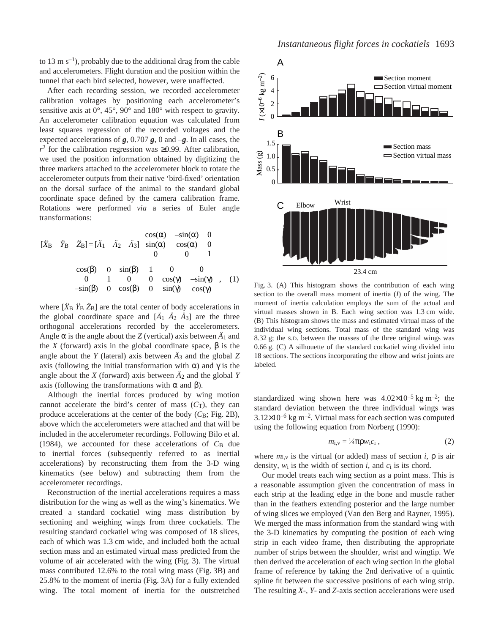to 13 m  $s^{-1}$ ), probably due to the additional drag from the cable and accelerometers. Flight duration and the position within the tunnel that each bird selected, however, were unaffected.

After each recording session, we recorded accelerometer calibration voltages by positioning each accelerometer's sensitive axis at 0°, 45°, 90° and 180° with respect to gravity. An accelerometer calibration equation was calculated from least squares regression of the recorded voltages and the expected accelerations of  $g$ , 0.707 $g$ , 0 and  $-g$ . In all cases, the  $r^2$  for the calibration regression was ≥0.99. After calibration, we used the position information obtained by digitizing the three markers attached to the accelerometer block to rotate the accelerometer outputs from their native 'bird-fixed' orientation on the dorsal surface of the animal to the standard global coordinate space defined by the camera calibration frame. Rotations were performed *via* a series of Euler angle transformations:

$$
\begin{bmatrix} \ddot{X}_{\text{B}} & \ddot{Y}_{\text{B}} & \ddot{Z}_{\text{B}} \end{bmatrix} = \begin{bmatrix} \ddot{A}_1 & \ddot{A}_2 & \ddot{A}_3 \end{bmatrix} \begin{bmatrix} \cos(\alpha) & -\sin(\alpha) & 0 \\ \sin(\alpha) & \cos(\alpha) & 0 \\ 0 & 0 & 1 \end{bmatrix}
$$
\n
$$
\begin{bmatrix} \cos(\beta) & 0 & \sin(\beta) \\ 0 & 1 & 0 \\ -\sin(\beta) & 0 & \cos(\beta) \end{bmatrix} \begin{bmatrix} 1 & 0 & 0 \\ 0 & \cos(\gamma) & -\sin(\gamma) \\ 0 & \sin(\gamma) & \cos(\gamma) \end{bmatrix}, \quad (1)
$$

where  $[\hat{X}_B \ \hat{Y}_B \ \hat{Z}_B]$  are the total center of body accelerations in the global coordinate space and  $[\ddot{A}_1 \ \ddot{A}_2 \ \ddot{A}_3]$  are the three orthogonal accelerations recorded by the accelerometers. Angle  $\alpha$  is the angle about the *Z* (vertical) axis between  $\ddot{A}_1$  and the *X* (forward) axis in the global coordinate space,  $β$  is the angle about the *Y* (lateral) axis between  $\ddot{A}_3$  and the global *Z* axis (following the initial transformation with  $\alpha$ ) and  $\gamma$  is the angle about the *X* (forward) axis between  $\ddot{A}_2$  and the global *Y* axis (following the transformations with α and β).

Although the inertial forces produced by wing motion cannot accelerate the bird's center of mass  $(C_T)$ , they can produce accelerations at the center of the body  $(C<sub>B</sub>; Fig. 2B)$ , above which the accelerometers were attached and that will be included in the accelerometer recordings. Following Bilo et al. (1984), we accounted for these accelerations of  $C_B$  due to inertial forces (subsequently referred to as inertial accelerations) by reconstructing them from the 3-D wing kinematics (see below) and subtracting them from the accelerometer recordings.

Reconstruction of the inertial accelerations requires a mass distribution for the wing as well as the wing's kinematics. We created a standard cockatiel wing mass distribution by sectioning and weighing wings from three cockatiels. The resulting standard cockatiel wing was composed of 18 slices, each of which was 1.3 cm wide, and included both the actual section mass and an estimated virtual mass predicted from the volume of air accelerated with the wing (Fig. 3). The virtual mass contributed 12.6% to the total wing mass (Fig. 3B) and  $25.8\%$  to the moment of inertia (Fig. 3A) for a fully extended wing. The total moment of inertia for the outstretched



Fig. 3. (A) This histogram shows the contribution of each wing section to the overall mass moment of inertia (*I*) of the wing. The moment of inertia calculation employs the sum of the actual and virtual masses shown in B. Each wing section was 1.3 cm wide. (B) This histogram shows the mass and estimated virtual mass of the individual wing sections. Total mass of the standard wing was 8.32 g; the s.D. between the masses of the three original wings was  $0.66$  g.  $(C)$  A silhouette of the standard cockatiel wing divided into 18 sections. The sections incorporating the elbow and wrist joints are labeled.

standardized wing shown here was  $4.02 \times 10^{-5}$  kg m<sup>-2</sup>; the standard deviation between the three individual wings was  $3.12\times10^{-6}$  kg m<sup>-2</sup>. Virtual mass for each section was computed using the following equation from Norberg (1990):

$$
m_{i,v} = \frac{1}{4} \pi \rho w_i c_i \tag{2}
$$

where  $m_{i,v}$  is the virtual (or added) mass of section *i*,  $\rho$  is air density, *w*i is the width of section *i*, and *c*i is its chord.

Our model treats each wing section as a point mass. This is a reasonable assumption given the concentration of mass in each strip at the leading edge in the bone and muscle rather than in the feathers extending posterior and the large number of wing slices we employed (Van den Berg and Rayner, 1995). We merged the mass information from the standard wing with the 3-D kinematics by computing the position of each wing strip in each video frame, then distributing the appropriate number of strips between the shoulder, wrist and wingtip. We then derived the acceleration of each wing section in the global frame of reference by taking the 2nd derivative of a quintic spline fit between the successive positions of each wing strip. The resulting *X*-, *Y*- and *Z*-axis section accelerations were used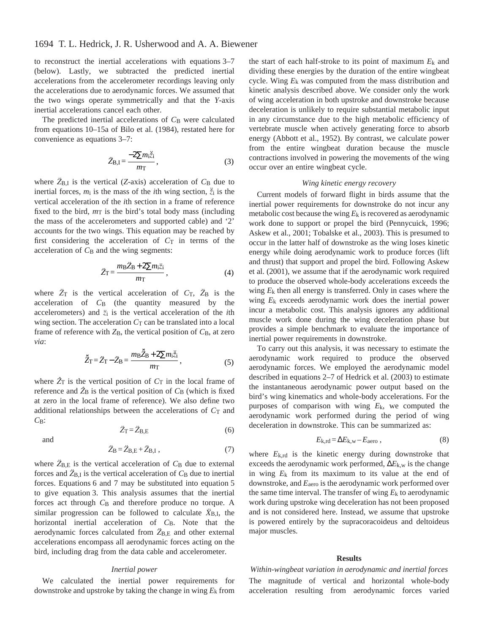to reconstruct the inertial accelerations with equations  $3-7$ (below). Lastly, we subtracted the predicted inertial accelerations from the accelerometer recordings leaving only the accelerations due to aerodynamic forces. We assumed that the two wings operate symmetrically and that the *Y*-axis inertial accelerations cancel each other.

The predicted inertial accelerations of C<sub>B</sub> were calculated from equations 10–15a of Bilo et al. (1984), restated here for convenience as equations  $3-7$ :

$$
\ddot{Z}_{B,I} = \frac{-2\sum m_i \ddot{\tilde{z}}_i}{m\tau},\tag{3}
$$

where  $\ddot{Z}_{B,I}$  is the vertical (*Z*-axis) acceleration of  $C_B$  due to inertial forces,  $m_i$  is the mass of the *i*th wing section,  $\ddot{z}_i$  is the vertical acceleration of the *i*th section in a frame of reference fixed to the bird,  $m<sub>T</sub>$  is the bird's total body mass (including the mass of the accelerometers and supported cable) and '2' accounts for the two wings. This equation may be reached by first considering the acceleration of  $C_T$  in terms of the acceleration of  $C_B$  and the wing segments:

$$
\ddot{Z}_{\rm T} = \frac{m_{\rm B} \ddot{Z}_{\rm B} + 2 \sum m_{\rm i} \ddot{z}_{\rm i}}{m_{\rm T}},\tag{4}
$$

where  $\ddot{Z}_T$  is the vertical acceleration of  $C_T$ ,  $\ddot{Z}_B$  is the acceleration of  $C_B$  (the quantity measured by the accelerometers) and *z*i is the vertical acceleration of the *i*th wing section. The acceleration  $C<sub>T</sub>$  can be translated into a local frame of reference with  $Z_B$ , the vertical position of  $C_B$ , at zero *via*:

$$
\ddot{\tilde{Z}}_{\rm T} = \ddot{Z}_{\rm T} - \ddot{Z}_{\rm B} = \frac{m_{\rm B} \ddot{\tilde{Z}}_{\rm B} + 2 \sum m_{\rm i} \ddot{\tilde{z}}_{\rm i}}{m_{\rm T}},\tag{5}
$$

where  $\hat{Z}_T$  is the vertical position of  $C_T$  in the local frame of reference and  $\hat{Z}_B$  is the vertical position of  $C_B$  (which is fixed at zero in the local frame of reference). We also define two additional relationships between the accelerations of  $C<sub>T</sub>$  and *C*B:  $\ddot{Z}_{T} = \ddot{Z}_{B,E}$  (6)

and

$$
\ddot{Z}_{B} = \ddot{Z}_{B,E} + \ddot{Z}_{B,I} , \qquad (7)
$$

where  $\tilde{Z}_{B,E}$  is the vertical acceleration of  $C_B$  due to external forces and  $\ddot{Z}_{B,I}$  is the vertical acceleration of  $C_B$  due to inertial forces. Equations  $6$  and  $7$  may be substituted into equation  $5$ to give equation 3. This analysis assumes that the inertial forces act through  $C_B$  and therefore produce no torque. A similar progression can be followed to calculate  $\ddot{X}_{B,I}$ , the horizontal inertial acceleration of *C*B. Note that the aerodynamic forces calculated from  $\ddot{Z}_{B,E}$  and other external accelerations encompass all aerodynamic forces acting on the bird, including drag from the data cable and accelerometer.

### *Inertial power*

We calculated the inertial power requirements for downstroke and upstroke by taking the change in wing *E*k from

the start of each half-stroke to its point of maximum *E*k and dividing these energies by the duration of the entire wingbeat cycle. Wing *E*k was computed from the mass distribution and kinetic analysis described above. We consider only the work of wing acceleration in both upstroke and downstroke because deceleration is unlikely to require substantial metabolic input in any circumstance due to the high metabolic efficiency of vertebrate muscle when actively generating force to absorb energy (Abbott et al., 1952). By contrast, we calculate power from the entire wingbeat duration because the muscle contractions involved in powering the movements of the wing occur over an entire wingbeat cycle.

### *Wing kinetic energy recovery*

Current models of forward flight in birds assume that the inertial power requirements for downstroke do not incur any metabolic cost because the wing *E*k is recovered as aerodynamic work done to support or propel the bird (Pennycuick, 1996; Askew et al., 2001; Tobalske et al., 2003). This is presumed to occur in the latter half of downstroke as the wing loses kinetic energy while doing aerodynamic work to produce forces (lift and thrust) that support and propel the bird. Following Askew et al. (2001), we assume that if the aerodynamic work required to produce the observed whole-body accelerations exceeds the wing *E*k then all energy is transferred. Only in cases where the wing *E*k exceeds aerodynamic work does the inertial power incur a metabolic cost. This analysis ignores any additional muscle work done during the wing deceleration phase but provides a simple benchmark to evaluate the importance of inertial power requirements in downstroke.

To carry out this analysis, it was necessary to estimate the aerodynamic work required to produce the observed aerodynamic forces. We employed the aerodynamic model described in equations  $2-7$  of Hedrick et al. (2003) to estimate the instantaneous aerodynamic power output based on the bird's wing kinematics and whole-body accelerations. For the purposes of comparison with wing *E*k, we computed the aerodynamic work performed during the period of wing deceleration in downstroke. This can be summarized as:

$$
E_{k,rd} = \Delta E_{k,w} - E_{\text{aero}} \,, \tag{8}
$$

where *E*k,rd is the kinetic energy during downstroke that exceeds the aerodynamic work performed, ∆*E*k,w is the change in wing *E*k from its maximum to its value at the end of downstroke, and *E*aero is the aerodynamic work performed over the same time interval. The transfer of wing  $E_k$  to aerodynamic work during upstroke wing deceleration has not been proposed and is not considered here. Instead, we assume that upstroke is powered entirely by the supracoracoideus and deltoideus major muscles.

#### **Results**

*Within-wingbeat variation in aerodynamic and inertial forces* The magnitude of vertical and horizontal whole-body acceleration resulting from aerodynamic forces varied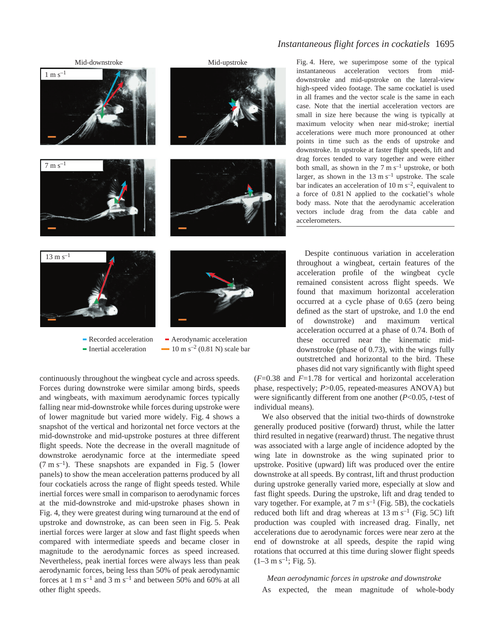

### Recorded acceleration - Inertial acceleration

 $-10 \text{ m s}^{-2}$  (0.81 N) scale bar Aerodynamic acceleration

continuously throughout the wingbeat cycle and across speeds. Forces during downstroke were similar among birds, speeds and wingbeats, with maximum aerodynamic forces typically falling near mid-downstroke while forces during upstroke were of lower magnitude but varied more widely. Fig. 4 shows a snapshot of the vertical and horizontal net force vectors at the mid-downstroke and mid-upstroke postures at three different flight speeds. Note the decrease in the overall magnitude of downstroke aerodynamic force at the intermediate speed  $(7 \text{ m s}^{-1})$ . These snapshots are expanded in Fig. 5 (lower panels) to show the mean acceleration patterns produced by all four cockatiels across the range of flight speeds tested. While inertial forces were small in comparison to aerodynamic forces at the mid-downstroke and mid-upstroke phases shown in Fig. 4, they were greatest during wing turnaround at the end of upstroke and downstroke, as can been seen in Fig. 5. Peak inertial forces were larger at slow and fast flight speeds when compared with intermediate speeds and became closer in magnitude to the aerodynamic forces as speed increased. Nevertheless, peak inertial forces were always less than peak aerodynamic forces, being less than 50% of peak aerodynamic forces at 1 m  $s^{-1}$  and 3 m  $s^{-1}$  and between 50% and 60% at all other flight speeds.

# *Instantaneous flight forces in cockatiels* 1695

Fig. 4. Here, we superimpose some of the typical instantaneous acceleration vectors from middownstroke and mid-upstroke on the lateral-view high-speed video footage. The same cockatiel is used in all frames and the vector scale is the same in each case. Note that the inertial acceleration vectors are small in size here because the wing is typically at maximum velocity when near mid-stroke; inertial accelerations were much more pronounced at other points in time such as the ends of upstroke and downstroke. In upstroke at faster flight speeds, lift and drag forces tended to vary together and were either both small, as shown in the  $7 \text{ m s}^{-1}$  upstroke, or both larger, as shown in the  $13 \text{ m s}^{-1}$  upstroke. The scale bar indicates an acceleration of 10  $\text{m s}^{-2}$ , equivalent to a force of 0.81 N applied to the cockatiel's whole body mass. Note that the aerodynamic acceleration vectors include drag from the data cable and accelerometers.

Despite continuous variation in acceleration throughout a wingbeat, certain features of the acceleration profile of the wingbeat cycle remained consistent across flight speeds. We found that maximum horizontal acceleration occurred at a cycle phase of 0.65 (zero being defined as the start of upstroke, and 1.0 the end of downstroke) and maximum vertical acceleration occurred at a phase of 0.74. Both of these occurred near the kinematic middownstroke (phase of 0.73), with the wings fully outstretched and horizontal to the bird. These phases did not vary significantly with flight speed

(*F*=0.38 and *F*=1.78 for vertical and horizontal acceleration phase, respectively; *P*>0.05, repeated-measures ANOVA) but were significantly different from one another (*P*<0.05, *t*-test of individual means).

We also observed that the initial two-thirds of downstroke generally produced positive (forward) thrust, while the latter third resulted in negative (rearward) thrust. The negative thrust was associated with a large angle of incidence adopted by the wing late in downstroke as the wing supinated prior to upstroke. Positive (upward) lift was produced over the entire downstroke at all speeds. By contrast, lift and thrust production during upstroke generally varied more, especially at slow and fast flight speeds. During the upstroke, lift and drag tended to vary together. For example, at 7 m  $s^{-1}$  (Fig. 5B), the cockatiels reduced both lift and drag whereas at  $13 \text{ m s}^{-1}$  (Fig. 5C) lift production was coupled with increased drag. Finally, net accelerations due to aerodynamic forces were near zero at the end of downstroke at all speeds, despite the rapid wing rotations that occurred at this time during slower flight speeds  $(1-3 \text{ m s}^{-1}; \text{Fig. 5}).$ 

*Mean aerodynamic forces in upstroke and downstroke* As expected, the mean magnitude of whole-body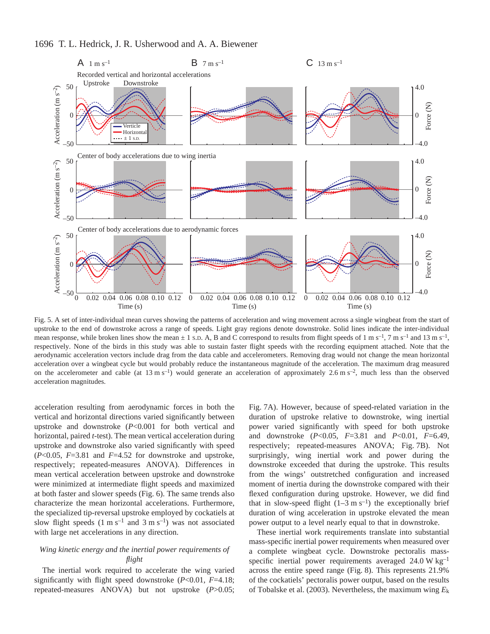# 1696 T. L. Hedrick, J. R. Usherwood and A. A. Biewener



Fig. 5. A set of inter-individual mean curves showing the patterns of acceleration and wing movement across a single wingbeat from the start of upstroke to the end of downstroke across a range of speeds. Light gray regions denote downstroke. Solid lines indicate the inter-individual mean response, while broken lines show the mean  $\pm 1$  s.D. A, B and C correspond to results from flight speeds of 1 m s<sup>-1</sup>, 7 m s<sup>-1</sup> and 13 m s<sup>-1</sup>, respectively. None of the birds in this study was able to sustain faster flight speeds with the recording equipment attached. Note that the aerodynamic acceleration vectors include drag from the data cable and accelerometers. Removing drag would not change the mean horizontal acceleration over a wingbeat cycle but would probably reduce the instantaneous magnitude of the acceleration. The maximum drag measured on the accelerometer and cable (at  $13 \text{ m s}^{-1}$ ) would generate an acceleration of approximately 2.6 m s<sup>-2</sup>, much less than the observed acceleration magnitudes.

acceleration resulting from aerodynamic forces in both the vertical and horizontal directions varied significantly between upstroke and downstroke (*P*<0.001 for both vertical and horizontal, paired *t*-test). The mean vertical acceleration during upstroke and downstroke also varied significantly with speed (*P*<0.05, *F*=3.81 and *F*=4.52 for downstroke and upstroke, respectively; repeated-measures ANOVA). Differences in mean vertical acceleration between upstroke and downstroke were minimized at intermediate flight speeds and maximized at both faster and slower speeds (Fig. 6). The same trends also characterize the mean horizontal accelerations. Furthermore, the specialized tip-reversal upstroke employed by cockatiels at slow flight speeds  $(1 \text{ m s}^{-1} \text{ and } 3 \text{ m s}^{-1})$  was not associated with large net accelerations in any direction.

### *Wing kinetic energy and the inertial power requirements of flight*

The inertial work required to accelerate the wing varied significantly with flight speed downstroke (*P*<0.01, *F*=4.18; repeated-measures ANOVA) but not upstroke (*P*>0.05;

Fig. 7A). However, because of speed-related variation in the duration of upstroke relative to downstroke, wing inertial power varied significantly with speed for both upstroke and downstroke (*P*<0.05, *F*=3.81 and *P*<0.01, *F*=6.49, respectively; repeated-measures ANOVA; Fig. 7B). Not surprisingly, wing inertial work and power during the downstroke exceeded that during the upstroke. This results from the wings' outstretched configuration and increased moment of inertia during the downstroke compared with their flexed configuration during upstroke. However, we did find that in slow-speed flight  $(1-3 \text{ m s}^{-1})$  the exceptionally brief duration of wing acceleration in upstroke elevated the mean power output to a level nearly equal to that in downstroke.

These inertial work requirements translate into substantial mass-specific inertial power requirements when measured over a complete wingbeat cycle. Downstroke pectoralis massspecific inertial power requirements averaged  $24.0 W kg^{-1}$ across the entire speed range (Fig. 8). This represents 21.9% of the cockatiels' pectoralis power output, based on the results of Tobalske et al. (2003). Nevertheless, the maximum wing *E*k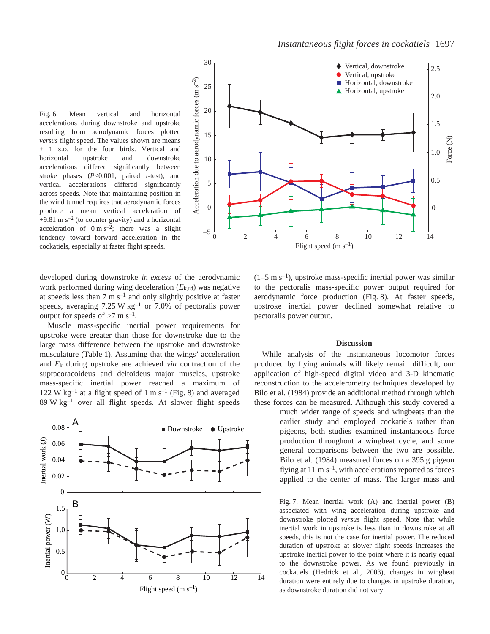Fig. 6. Mean vertical and horizontal accelerations during downstroke and upstroke resulting from aerodynamic forces plotted *versus* flight speed. The values shown are means ± 1 S.D. for the four birds. Vertical and horizontal upstroke and downstroke accelerations differed significantly between stroke phases (*P*<0.001, paired *t*-test), and vertical accelerations differed significantly across speeds. Note that maintaining position in the wind tunnel requires that aerodynamic forces produce a mean vertical acceleration of  $+9.81~\mathrm{m~s^{-2}}$  (to counter gravity) and a horizontal acceleration of  $0 \text{ m s}^{-2}$ ; there was a slight tendency toward forward acceleration in the cockatiels, especially at faster flight speeds.



developed during downstroke *in excess* of the aerodynamic work performed during wing deceleration (*E*k,rd) was negative at speeds less than  $7 \text{ m s}^{-1}$  and only slightly positive at faster speeds, averaging  $7.25 \text{ W kg}^{-1}$  or  $7.0\%$  of pectoralis power output for speeds of  $>7$  m s<sup>-1</sup>.

Muscle mass-specific inertial power requirements for upstroke were greater than those for downstroke due to the large mass difference between the upstroke and downstroke musculature (Table 1). Assuming that the wings' acceleration and *E*k during upstroke are achieved *via* contraction of the supracoracoideus and deltoideus major muscles, upstroke mass-specific inertial power reached a maximum of 122 W  $kg^{-1}$  at a flight speed of 1 m s<sup>-1</sup> (Fig. 8) and averaged  $89 \text{ W kg}^{-1}$  over all flight speeds. At slower flight speeds



 $(1-5 \text{ m s}^{-1})$ , upstroke mass-specific inertial power was similar to the pectoralis mass-specific power output required for aerodynamic force production (Fig. 8). At faster speeds, upstroke inertial power declined somewhat relative to pectoralis power output.

### **Discussion**

While analysis of the instantaneous locomotor forces produced by flying animals will likely remain difficult, our application of high-speed digital video and 3-D kinematic reconstruction to the accelerometry techniques developed by Bilo et al. (1984) provide an additional method through which these forces can be measured. Although this study covered a

much wider range of speeds and wingbeats than the earlier study and employed cockatiels rather than pigeons, both studies examined instantaneous force production throughout a wingbeat cycle, and some general comparisons between the two are possible. Bilo et al. (1984) measured forces on a 395 g pigeon flying at 11 m  $s^{-1}$ , with accelerations reported as forces applied to the center of mass. The larger mass and

associated with wing acceleration during upstroke and downstroke plotted *versus* flight speed. Note that while inertial work in upstroke is less than in downstroke at all speeds, this is not the case for inertial power. The reduced duration of upstroke at slower flight speeds increases the upstroke inertial power to the point where it is nearly equal to the downstroke power. As we found previously in cockatiels (Hedrick et al., 2003), changes in wingbeat duration were entirely due to changes in upstroke duration, as downstroke duration did not vary.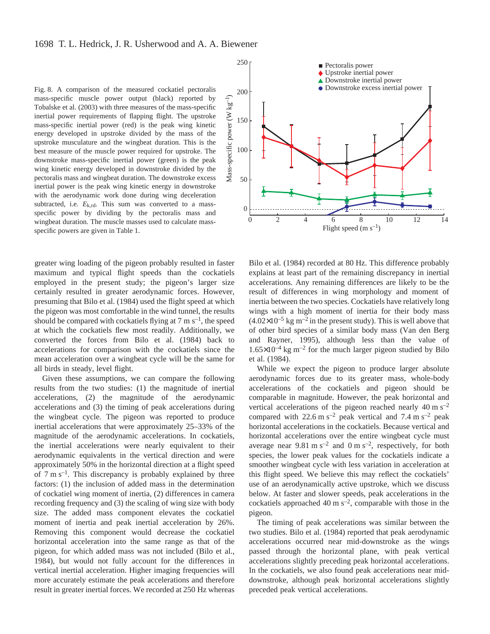Fig. 8. A comparison of the measured cockatiel pectoralis mass-specific muscle power output (black) reported by Tobalske et al. (2003) with three measures of the mass-specific inertial power requirements of flapping flight. The upstroke mass-specific inertial power (red) is the peak wing kinetic energy developed in upstroke divided by the mass of the upstroke musculature and the wingbeat duration. This is the best measure of the muscle power required for upstroke. The downstroke mass-specific inertial power (green) is the peak wing kinetic energy developed in downstroke divided by the pectoralis mass and wingbeat duration. The downstroke excess inertial power is the peak wing kinetic energy in downstroke with the aerodynamic work done during wing deceleration subtracted, i.e.  $E_{k,rd}$ . This sum was converted to a massspecific power by dividing by the pectoralis mass and wingbeat duration. The muscle masses used to calculate massspecific powers are given in Table 1.

greater wing loading of the pigeon probably resulted in faster maximum and typical flight speeds than the cockatiels employed in the present study; the pigeon's larger size certainly resulted in greater aerodynamic forces. However, presuming that Bilo et al. (1984) used the flight speed at which the pigeon was most comfortable in the wind tunnel, the results should be compared with cockatiels flying at 7 m  $s^{-1}$ , the speed at which the cockatiels flew most readily. Additionally, we converted the forces from Bilo et al. (1984) back to accelerations for comparison with the cockatiels since the mean acceleration over a wingbeat cycle will be the same for all birds in steady, level flight.

Given these assumptions, we can compare the following results from the two studies: (1) the magnitude of inertial accelerations, (2) the magnitude of the aerodynamic accelerations and (3) the timing of peak accelerations during the wingbeat cycle. The pigeon was reported to produce inertial accelerations that were approximately 25–33% of the magnitude of the aerodynamic accelerations. In cockatiels, the inertial accelerations were nearly equivalent to their aerodynamic equivalents in the vertical direction and were approximately 50% in the horizontal direction at a flight speed of  $7 \text{ m s}^{-1}$ . This discrepancy is probably explained by three factors: (1) the inclusion of added mass in the determination of cockatiel wing moment of inertia, (2) differences in camera recording frequency and (3) the scaling of wing size with body size. The added mass component elevates the cockatiel moment of inertia and peak inertial acceleration by 26%. Removing this component would decrease the cockatiel horizontal acceleration into the same range as that of the pigeon, for which added mass was not included (Bilo et al., 1984), but would not fully account for the differences in vertical inertial acceleration. Higher imaging frequencies will more accurately estimate the peak accelerations and therefore result in greater inertial forces. We recorded at 250 Hz whereas

![](_page_9_Figure_4.jpeg)

Bilo et al. (1984) recorded at 80 Hz. This difference probably explains at least part of the remaining discrepancy in inertial accelerations. Any remaining differences are likely to be the result of differences in wing morphology and moment of inertia between the two species. Cockatiels have relatively long wings with a high moment of inertia for their body mass  $(4.02\times10^{-5} \text{ kg m}^{-2})$  in the present study). This is well above that of other bird species of a similar body mass (Van den Berg and Rayner, 1995), although less than the value of  $1.65\times10^{-4}$  kg m<sup>-2</sup> for the much larger pigeon studied by Bilo et al. (1984).

While we expect the pigeon to produce larger absolute aerodynamic forces due to its greater mass, whole-body accelerations of the cockatiels and pigeon should be comparable in magnitude. However, the peak horizontal and vertical accelerations of the pigeon reached nearly  $40 \text{ m s}^{-2}$ compared with 22.6 m s<sup>-2</sup> peak vertical and 7.4 m s<sup>-2</sup> peak horizontal accelerations in the cockatiels. Because vertical and horizontal accelerations over the entire wingbeat cycle must average near  $9.81 \text{ m s}^{-2}$  and  $0 \text{ m s}^{-2}$ , respectively, for both species, the lower peak values for the cockatiels indicate a smoother wingbeat cycle with less variation in acceleration at this flight speed. We believe this may reflect the cockatiels' use of an aerodynamically active upstroke, which we discuss below. At faster and slower speeds, peak accelerations in the cockatiels approached 40 m  $s^{-2}$ , comparable with those in the pigeon.

The timing of peak accelerations was similar between the two studies. Bilo et al. (1984) reported that peak aerodynamic accelerations occurred near mid-downstroke as the wings passed through the horizontal plane, with peak vertical accelerations slightly preceding peak horizontal accelerations. In the cockatiels, we also found peak accelerations near middownstroke, although peak horizontal accelerations slightly preceded peak vertical accelerations.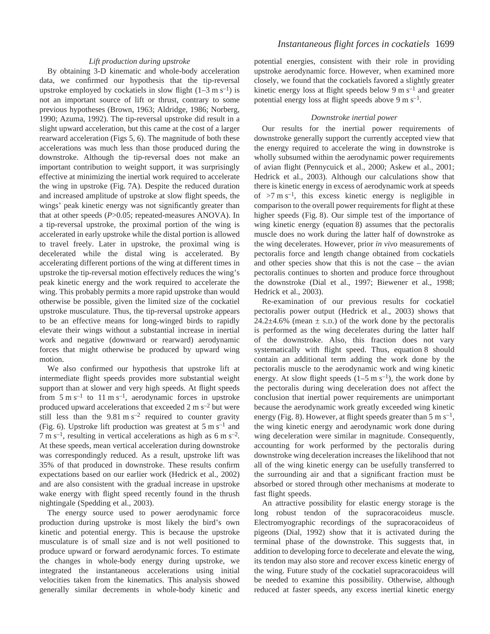### *Lift production during upstroke*

By obtaining 3-D kinematic and whole-body acceleration data, we confirmed our hypothesis that the tip-reversal upstroke employed by cockatiels in slow flight  $(1-3 \text{ m s}^{-1})$  is not an important source of lift or thrust, contrary to some previous hypotheses (Brown, 1963; Aldridge, 1986; Norberg, 1990; Azuma, 1992). The tip-reversal upstroke did result in a slight upward acceleration, but this came at the cost of a larger rearward acceleration (Figs 5, 6). The magnitude of both these accelerations was much less than those produced during the downstroke. Although the tip-reversal does not make an important contribution to weight support, it was surprisingly effective at minimizing the inertial work required to accelerate the wing in upstroke (Fig. 7A). Despite the reduced duration and increased amplitude of upstroke at slow flight speeds, the wings' peak kinetic energy was not significantly greater than that at other speeds (*P*>0.05; repeated-measures ANOVA). In a tip-reversal upstroke, the proximal portion of the wing is accelerated in early upstroke while the distal portion is allowed to travel freely. Later in upstroke, the proximal wing is decelerated while the distal wing is accelerated. By accelerating different portions of the wing at different times in upstroke the tip-reversal motion effectively reduces the wing's peak kinetic energy and the work required to accelerate the wing. This probably permits a more rapid upstroke than would otherwise be possible, given the limited size of the cockatiel upstroke musculature. Thus, the tip-reversal upstroke appears to be an effective means for long-winged birds to rapidly elevate their wings without a substantial increase in inertial work and negative (downward or rearward) aerodynamic forces that might otherwise be produced by upward wing motion.

We also confirmed our hypothesis that upstroke lift at intermediate flight speeds provides more substantial weight support than at slower and very high speeds. At flight speeds from  $5 \text{ m s}^{-1}$  to  $11 \text{ m s}^{-1}$ , aerodynamic forces in upstroke produced upward accelerations that exceeded  $2 \text{ m s}^{-2}$  but were still less than the  $9.81 \text{ m s}^{-2}$  required to counter gravity (Fig. 6). Upstroke lift production was greatest at 5 m s<sup>-1</sup> and  $7 \text{ m s}^{-1}$ , resulting in vertical accelerations as high as 6 m s<sup>-2</sup>. At these speeds, mean vertical acceleration during downstroke was correspondingly reduced. As a result, upstroke lift was 35% of that produced in downstroke. These results confirm expectations based on our earlier work (Hedrick et al., 2002) and are also consistent with the gradual increase in upstroke wake energy with flight speed recently found in the thrush nightingale (Spedding et al., 2003).

The energy source used to power aerodynamic force production during upstroke is most likely the bird's own kinetic and potential energy. This is because the upstroke musculature is of small size and is not well positioned to produce upward or forward aerodynamic forces. To estimate the changes in whole-body energy during upstroke, we integrated the instantaneous accelerations using initial velocities taken from the kinematics. This analysis showed generally similar decrements in whole-body kinetic and

potential energies, consistent with their role in providing upstroke aerodynamic force. However, when examined more closely, we found that the cockatiels favored a slightly greater kinetic energy loss at flight speeds below 9 m  $s^{-1}$  and greater potential energy loss at flight speeds above 9 m s<sup>-1</sup>.

### *Downstroke inertial power*

Our results for the inertial power requirements of downstroke generally support the currently accepted view that the energy required to accelerate the wing in downstroke is wholly subsumed within the aerodynamic power requirements of avian flight (Pennycuick et al., 2000; Askew et al., 2001; Hedrick et al., 2003). Although our calculations show that there is kinetic energy in excess of aerodynamic work at speeds of  $>7 \text{ m s}^{-1}$ , this excess kinetic energy is negligible in comparison to the overall power requirements for flight at these higher speeds (Fig. 8). Our simple test of the importance of wing kinetic energy (equation 8) assumes that the pectoralis muscle does no work during the latter half of downstroke as the wing decelerates. However, prior *in vivo* measurements of pectoralis force and length change obtained from cockatiels and other species show that this is not the case – the avian pectoralis continues to shorten and produce force throughout the downstroke (Dial et al., 1997; Biewener et al., 1998; Hedrick et al., 2003).

Re-examination of our previous results for cockatiel pectoralis power output (Hedrick et al., 2003) shows that  $24.2\pm4.6\%$  (mean  $\pm$  s.D.) of the work done by the pectoralis is performed as the wing decelerates during the latter half of the downstroke. Also, this fraction does not vary systematically with flight speed. Thus, equation 8 should contain an additional term adding the work done by the pectoralis muscle to the aerodynamic work and wing kinetic energy. At slow flight speeds  $(1–5 \text{ m s}^{-1})$ , the work done by the pectoralis during wing deceleration does not affect the conclusion that inertial power requirements are unimportant because the aerodynamic work greatly exceeded wing kinetic energy (Fig. 8). However, at flight speeds greater than 5 m  $s^{-1}$ , the wing kinetic energy and aerodynamic work done during wing deceleration were similar in magnitude. Consequently, accounting for work performed by the pectoralis during downstroke wing deceleration increases the likelihood that not all of the wing kinetic energy can be usefully transferred to the surrounding air and that a significant fraction must be absorbed or stored through other mechanisms at moderate to fast flight speeds.

An attractive possibility for elastic energy storage is the long robust tendon of the supracoracoideus muscle. Electromyographic recordings of the supracoracoideus of pigeons (Dial, 1992) show that it is activated during the terminal phase of the downstroke. This suggests that, in addition to developing force to decelerate and elevate the wing, its tendon may also store and recover excess kinetic energy of the wing. Future study of the cockatiel supracoracoideus will be needed to examine this possibility. Otherwise, although reduced at faster speeds, any excess inertial kinetic energy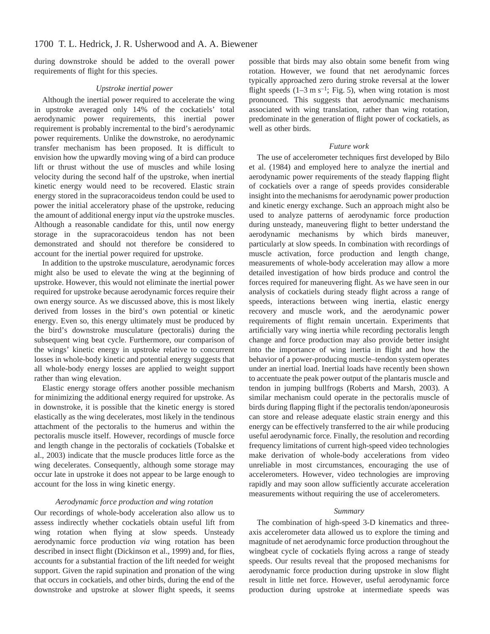during downstroke should be added to the overall power requirements of flight for this species.

### *Upstroke inertial power*

Although the inertial power required to accelerate the wing in upstroke averaged only 14% of the cockatiels' total aerodynamic power requirements, this inertial power requirement is probably incremental to the bird's aerodynamic power requirements. Unlike the downstroke, no aerodynamic transfer mechanism has been proposed. It is difficult to envision how the upwardly moving wing of a bird can produce lift or thrust without the use of muscles and while losing velocity during the second half of the upstroke, when inertial kinetic energy would need to be recovered. Elastic strain energy stored in the supracoracoideus tendon could be used to power the initial acceleratory phase of the upstroke, reducing the amount of additional energy input *via* the upstroke muscles. Although a reasonable candidate for this, until now energy storage in the supracoracoideus tendon has not been demonstrated and should not therefore be considered to account for the inertial power required for upstroke.

In addition to the upstroke musculature, aerodynamic forces might also be used to elevate the wing at the beginning of upstroke. However, this would not eliminate the inertial power required for upstroke because aerodynamic forces require their own energy source. As we discussed above, this is most likely derived from losses in the bird's own potential or kinetic energy. Even so, this energy ultimately must be produced by the bird's downstroke musculature (pectoralis) during the subsequent wing beat cycle. Furthermore, our comparison of the wings' kinetic energy in upstroke relative to concurrent losses in whole-body kinetic and potential energy suggests that all whole-body energy losses are applied to weight support rather than wing elevation.

Elastic energy storage offers another possible mechanism for minimizing the additional energy required for upstroke. As in downstroke, it is possible that the kinetic energy is stored elastically as the wing decelerates, most likely in the tendinous attachment of the pectoralis to the humerus and within the pectoralis muscle itself. However, recordings of muscle force and length change in the pectoralis of cockatiels (Tobalske et al., 2003) indicate that the muscle produces little force as the wing decelerates. Consequently, although some storage may occur late in upstroke it does not appear to be large enough to account for the loss in wing kinetic energy.

### *Aerodynamic force production and wing rotation*

Our recordings of whole-body acceleration also allow us to assess indirectly whether cockatiels obtain useful lift from wing rotation when flying at slow speeds. Unsteady aerodynamic force production *via* wing rotation has been described in insect flight (Dickinson et al., 1999) and, for flies, accounts for a substantial fraction of the lift needed for weight support. Given the rapid supination and pronation of the wing that occurs in cockatiels, and other birds, during the end of the downstroke and upstroke at slower flight speeds, it seems possible that birds may also obtain some benefit from wing rotation. However, we found that net aerodynamic forces typically approached zero during stroke reversal at the lower flight speeds  $(1-3 \text{ m s}^{-1})$ ; Fig. 5), when wing rotation is most pronounced. This suggests that aerodynamic mechanisms associated with wing translation, rather than wing rotation, predominate in the generation of flight power of cockatiels, as well as other birds.

### *Future work*

The use of accelerometer techniques first developed by Bilo et al. (1984) and employed here to analyze the inertial and aerodynamic power requirements of the steady flapping flight of cockatiels over a range of speeds provides considerable insight into the mechanisms for aerodynamic power production and kinetic energy exchange. Such an approach might also be used to analyze patterns of aerodynamic force production during unsteady, maneuvering flight to better understand the aerodynamic mechanisms by which birds maneuver, particularly at slow speeds. In combination with recordings of muscle activation, force production and length change, measurements of whole-body acceleration may allow a more detailed investigation of how birds produce and control the forces required for maneuvering flight. As we have seen in our analysis of cockatiels during steady flight across a range of speeds, interactions between wing inertia, elastic energy recovery and muscle work, and the aerodynamic power requirements of flight remain uncertain. Experiments that artificially vary wing inertia while recording pectoralis length change and force production may also provide better insight into the importance of wing inertia in flight and how the behavior of a power-producing muscle–tendon system operates under an inertial load. Inertial loads have recently been shown to accentuate the peak power output of the plantaris muscle and tendon in jumping bullfrogs (Roberts and Marsh, 2003). A similar mechanism could operate in the pectoralis muscle of birds during flapping flight if the pectoralis tendon/aponeurosis can store and release adequate elastic strain energy and this energy can be effectively transferred to the air while producing useful aerodynamic force. Finally, the resolution and recording frequency limitations of current high-speed video technologies make derivation of whole-body accelerations from video unreliable in most circumstances, encouraging the use of accelerometers. However, video technologies are improving rapidly and may soon allow sufficiently accurate acceleration measurements without requiring the use of accelerometers.

#### *Summary*

The combination of high-speed 3-D kinematics and threeaxis accelerometer data allowed us to explore the timing and magnitude of net aerodynamic force production throughout the wingbeat cycle of cockatiels flying across a range of steady speeds. Our results reveal that the proposed mechanisms for aerodynamic force production during upstroke in slow flight result in little net force. However, useful aerodynamic force production during upstroke at intermediate speeds was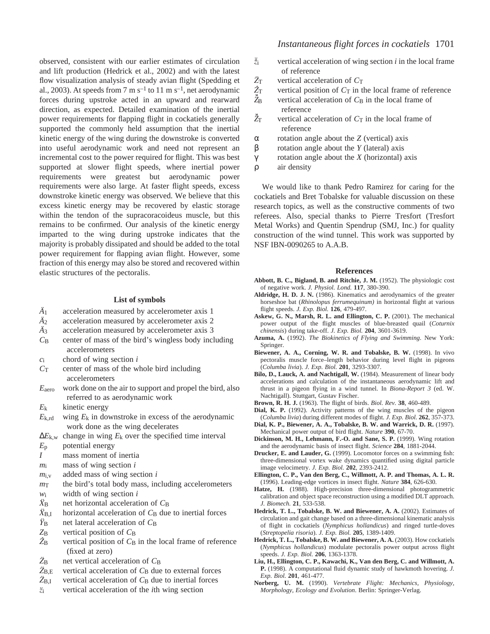observed, consistent with our earlier estimates of circulation and lift production (Hedrick et al., 2002) and with the latest flow visualization analysis of steady avian flight (Spedding et al., 2003). At speeds from 7 m s<sup>-1</sup> to 11 m s<sup>-1</sup>, net aerodynamic forces during upstroke acted in an upward and rearward direction, as expected. Detailed examination of the inertial power requirements for flapping flight in cockatiels generally supported the commonly held assumption that the inertial kinetic energy of the wing during the downstroke is converted into useful aerodynamic work and need not represent an incremental cost to the power required for flight. This was best supported at slower flight speeds, where inertial power requirements were greatest but aerodynamic power requirements were also large. At faster flight speeds, excess downstroke kinetic energy was observed. We believe that this excess kinetic energy may be recovered by elastic storage within the tendon of the supracoracoideus muscle, but this remains to be confirmed. Our analysis of the kinetic energy imparted to the wing during upstroke indicates that the majority is probably dissipated and should be added to the total power requirement for flapping avian flight. However, some fraction of this energy may also be stored and recovered within elastic structures of the pectoralis.

### **List of symbols**

- *Ä*1 acceleration measured by accelerometer axis 1
- $\ddot{A}_2$  acceleration measured by accelerometer axis 2
- *Ä*3 acceleration measured by accelerometer axis 3
- *C*B center of mass of the bird's wingless body including accelerometers
- *c*i chord of wing section *i*
- *C*T center of mass of the whole bird including accelerometers
- *E*aero work done on the air to support and propel the bird, also referred to as aerodynamic work
- *E*k kinetic energy
- $E_{k,rd}$  wing  $E_k$  in downstroke in excess of the aerodynamic work done as the wing decelerates
- $\Delta E_{k,w}$  change in wing  $E_k$  over the specified time interval
- *E*p potential energy
- *I* mass moment of inertia
- *m*i mass of wing section *i*
- *m*i,v added mass of wing section *i*
- $m<sub>T</sub>$  the bird's total body mass, including accelerometers  $w_i$  width of wing section *i*
- $\ddot{X}_{\text{B}}$  net horizontal acceleration of  $C_{\text{B}}$
- $\ddot{X}_{B,I}$  horizontal acceleration of  $C_B$  due to inertial forces
- $\ddot{Y}_{\text{B}}$  net lateral acceleration of  $C_{\text{B}}$
- *Z*B vertical position of *C*B
- $\hat{Z}_B$  vertical position of  $C_B$  in the local frame of reference (fixed at zero)
- $\ddot{Z}_B$  net vertical acceleration of  $C_B$
- $\ddot{Z}_{B,E}$  vertical acceleration of  $C_B$  due to external forces
- $\ddot{Z}_{B,I}$  vertical acceleration of  $C_B$  due to inertial forces
- *z*i vertical acceleration of the *i*th wing section

# *Instantaneous flight forces in cockatiels* 1701

- $\ddot{\tilde{z}}_i$  vertical acceleration of wing section *i* in the local frame of reference
- $\ddot{Z}_{T}$  vertical acceleration of  $C_{T}$
- $\hat{Z}_T$  vertical position of  $C_T$  in the local frame of reference
- $\hat{Z}_{\text{B}}$ vertical acceleration of  $C_B$  in the local frame of reference
- $\check{\Z}_\Gamma$ vertical acceleration of  $C_T$  in the local frame of reference
- α rotation angle about the *Z* (vertical) axis
- β rotation angle about the *Y* (lateral) axis
- γ rotation angle about the *X* (horizontal) axis
- ρ air density

We would like to thank Pedro Ramirez for caring for the cockatiels and Bret Tobalske for valuable discussion on these research topics, as well as the constructive comments of two referees. Also, special thanks to Pierre Tresfort (Tresfort Metal Works) and Quentin Spendrup (SMJ, Inc.) for quality construction of the wind tunnel. This work was supported by NSF IBN-0090265 to A.A.B.

#### **References**

- Abbott, B. C., Bigland, B. and Ritchie, J. M. (1952). The physiologic cost of negative work. *J. Physiol. Lond.* **117**, 380-390.
- **Aldridge, H. D. J. N.** (1986). Kinematics and aerodynamics of the greater horseshoe bat (*Rhinolopus ferrumequinum)* in horizontal flight at various flight speeds. *J. Exp. Biol.* **126**, 479-497.
- Askew, G. N., Marsh, R. L. and Ellington, C. P. (2001). The mechanical power output of the flight muscles of blue-breasted quail (*Coturnix chinensis*) during take-off. *J. Exp. Biol.* **204**, 3601-3619.
- **Azuma, A.** (1992). *The Biokinetics of Flying and Swimming*. New York: Springer.
- Biewener, A. A., Corning, W. R. and Tobalske, B. W. (1998). In vivo pectoralis muscle force–length behavior during level flight in pigeons (*Columba livia*). *J. Exp. Biol.* **201**, 3293-3307.
- **Bilo, D., Lauck, A. and Nachtigall, W.** (1984). Measurement of linear body accelerations and calculation of the instantaneous aerodynamic lift and thrust in a pigeon flying in a wind tunnel. In *Biona-Report 3* (ed. W. Nachtigall). Stuttgart, Gustav Fischer.
- **Brown, R. H. J.** (1963). The flight of birds. *Biol. Rev.* **38**, 460-489.
- **Dial, K. P.** (1992). Activity patterns of the wing muscles of the pigeon (*Columba livia*) during different modes of flight. *J. Exp. Biol.* **262**, 357-373.
- **Dial, K. P., Biewener, A. A., Tobalske, B. W. and Warrick, D. R.** (1997). Mechanical power output of bird flight. *Nature* **390**, 67-70.
- **Dickinson, M. H., Lehmann, F.-O. and Sane, S. P.** (1999). Wing rotation and the aerodynamic basis of insect flight. *Science* **284**, 1881-2044.
- **Drucker, E. and Lauder, G.** (1999). Locomotor forces on a swimming fish: three-dimensional vortex wake dynamics quantified using digital particle image velocimetry. *J. Exp. Biol.* **202**, 2393-2412.
- **Ellington, C. P., Van den Berg, C., Willmott, A. P. and Thomas, A. L. R.** (1996). Leading-edge vortices in insect flight. *Nature* **384**, 626-630.
- **Hatze, H.** (1988). High-precision three-dimensional photogrammetric calibration and object space reconstruction using a modified DLT approach. *J. Biomech.* **21**, 533-538.
- Hedrick, T. L., Tobalske, B. W. and Biewener, A. A. (2002). Estimates of circulation and gait change based on a three-dimensional kinematic analysis of flight in cockatiels (*Nymphicus hollandicus*) and ringed turtle-doves (*Streptopelia risoria*). *J. Exp. Biol.* **205**, 1389-1409.
- Hedrick, T. L., Tobalske, B. W. and Biewener, A. A. (2003). How cockatiels (*Nymphicus hollandicus*) modulate pectoralis power output across flight speeds. *J. Exp. Biol.* **206**, 1363-1378.
- **Liu, H., Ellington, C. P., Kawachi, K., Van den Berg, C. and Willmott, A. P.** (1998). A computational fluid dynamic study of hawkmoth hovering. *J. Exp. Biol.* **201**, 461-477.
- **Norberg, U. M.** (1990). *Vertebrate Flight: Mechanics, Physiology, Morphology, Ecology and Evolution*. Berlin: Springer-Verlag.